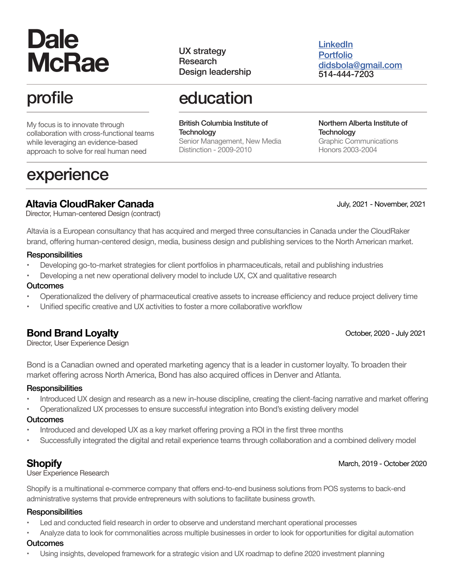# **Dale McRae**

# profile

My focus is to innovate through collaboration with cross-functional teams while leveraging an evidence-based approach to solve for real human need

# experience

UX strategy Research Design leadership **[LinkedIn](https://www.linkedin.com/in/dalemcrae/)** [Portfolio](http://www.dalemcrae.com) didsbola@gmail.com 514-444-7203

# education

British Columbia Institute of **Technology** Senior Management, New Media Distinction - 2009-2010

Northern Alberta Institute of **Technology** Graphic Communications Honors 2003-2004

# **Altavia CloudRaker Canada**

July, 2021 - November, 2021

Director, Human-centered Design (contract)

Altavia is a European consultancy that has acquired and merged three consultancies in Canada under the CloudRaker brand, offering human-centered design, media, business design and publishing services to the North American market.

#### **Responsibilities**

- Developing go-to-market strategies for client portfolios in pharmaceuticals, retail and publishing industries
- Developing a net new operational delivery model to include UX, CX and qualitative research

#### **Outcomes**

- Operationalized the delivery of pharmaceutical creative assets to increase efficiency and reduce project delivery time
- Unified specific creative and UX activities to foster a more collaborative workflow

# **Bond Brand Loyalty**

Director, User Experience Design

Bond is a Canadian owned and operated marketing agency that is a leader in customer loyalty. To broaden their market offering across North America, Bond has also acquired offices in Denver and Atlanta.

#### **Responsibilities**

- Introduced UX design and research as a new in-house discipline, creating the client-facing narrative and market offering
- Operationalized UX processes to ensure successful integration into Bond's existing delivery model

#### **Outcomes**

- Introduced and developed UX as a key market offering proving a ROI in the first three months
- Successfully integrated the digital and retail experience teams through collaboration and a combined delivery model

# **Shopify**

User Experience Research

Shopify is a multinational e-commerce company that offers end-to-end business solutions from POS systems to back-end administrative systems that provide entrepreneurs with solutions to facilitate business growth.

### **Responsibilities**

- Led and conducted field research in order to observe and understand merchant operational processes
- Analyze data to look for commonalities across multiple businesses in order to look for opportunities for digital automation

#### **Outcomes**

• Using insights, developed framework for a strategic vision and UX roadmap to define 2020 investment planning

#### October, 2020 - July 2021

March, 2019 - October 2020